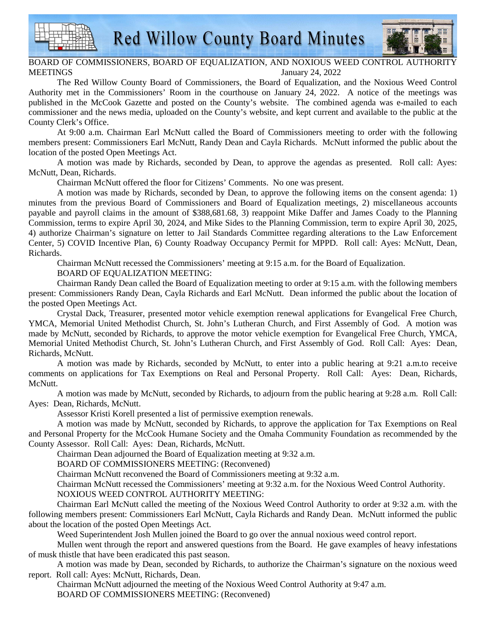**Red Willow County Board Minutes** 



## BOARD OF COMMISSIONERS, BOARD OF EQUALIZATION, AND NOXIOUS WEED CONTROL AUTHORIT MEETINGS January 24, 2022

The Red Willow County Board of Commissioners, the Board of Equalization, and the Noxious Weed Control Authority met in the Commissioners' Room in the courthouse on January 24, 2022. A notice of the meetings was published in the McCook Gazette and posted on the County's website. The combined agenda was e-mailed to each commissioner and the news media, uploaded on the County's website, and kept current and available to the public at the County Clerk's Office.

At 9:00 a.m. Chairman Earl McNutt called the Board of Commissioners meeting to order with the following members present: Commissioners Earl McNutt, Randy Dean and Cayla Richards. McNutt informed the public about the location of the posted Open Meetings Act.

A motion was made by Richards, seconded by Dean, to approve the agendas as presented. Roll call: Ayes: McNutt, Dean, Richards.

Chairman McNutt offered the floor for Citizens' Comments. No one was present.

A motion was made by Richards, seconded by Dean, to approve the following items on the consent agenda: 1) minutes from the previous Board of Commissioners and Board of Equalization meetings, 2) miscellaneous accounts payable and payroll claims in the amount of \$388,681.68, 3) reappoint Mike Daffer and James Coady to the Planning Commission, terms to expire April 30, 2024, and Mike Sides to the Planning Commission, term to expire April 30, 2025, 4) authorize Chairman's signature on letter to Jail Standards Committee regarding alterations to the Law Enforcement Center, 5) COVID Incentive Plan, 6) County Roadway Occupancy Permit for MPPD. Roll call: Ayes: McNutt, Dean, Richards.

Chairman McNutt recessed the Commissioners' meeting at 9:15 a.m. for the Board of Equalization.

BOARD OF EQUALIZATION MEETING:

Chairman Randy Dean called the Board of Equalization meeting to order at 9:15 a.m. with the following members present: Commissioners Randy Dean, Cayla Richards and Earl McNutt. Dean informed the public about the location of the posted Open Meetings Act.

Crystal Dack, Treasurer, presented motor vehicle exemption renewal applications for Evangelical Free Church, YMCA, Memorial United Methodist Church, St. John's Lutheran Church, and First Assembly of God. A motion was made by McNutt, seconded by Richards, to approve the motor vehicle exemption for Evangelical Free Church, YMCA, Memorial United Methodist Church, St. John's Lutheran Church, and First Assembly of God. Roll Call: Ayes: Dean, Richards, McNutt.

A motion was made by Richards, seconded by McNutt, to enter into a public hearing at 9:21 a.m.to receive comments on applications for Tax Exemptions on Real and Personal Property. Roll Call: Ayes: Dean, Richards, McNutt.

A motion was made by McNutt, seconded by Richards, to adjourn from the public hearing at 9:28 a.m. Roll Call: Ayes: Dean, Richards, McNutt.

Assessor Kristi Korell presented a list of permissive exemption renewals.

A motion was made by McNutt, seconded by Richards, to approve the application for Tax Exemptions on Real and Personal Property for the McCook Humane Society and the Omaha Community Foundation as recommended by the County Assessor. Roll Call: Ayes: Dean, Richards, McNutt.

Chairman Dean adjourned the Board of Equalization meeting at 9:32 a.m.

BOARD OF COMMISSIONERS MEETING: (Reconvened)

Chairman McNutt reconvened the Board of Commissioners meeting at 9:32 a.m.

Chairman McNutt recessed the Commissioners' meeting at 9:32 a.m. for the Noxious Weed Control Authority.

NOXIOUS WEED CONTROL AUTHORITY MEETING:

Chairman Earl McNutt called the meeting of the Noxious Weed Control Authority to order at 9:32 a.m. with the following members present: Commissioners Earl McNutt, Cayla Richards and Randy Dean. McNutt informed the public about the location of the posted Open Meetings Act.

Weed Superintendent Josh Mullen joined the Board to go over the annual noxious weed control report.

Mullen went through the report and answered questions from the Board. He gave examples of heavy infestations of musk thistle that have been eradicated this past season.

A motion was made by Dean, seconded by Richards, to authorize the Chairman's signature on the noxious weed report. Roll call: Ayes: McNutt, Richards, Dean.

Chairman McNutt adjourned the meeting of the Noxious Weed Control Authority at 9:47 a.m. BOARD OF COMMISSIONERS MEETING: (Reconvened)